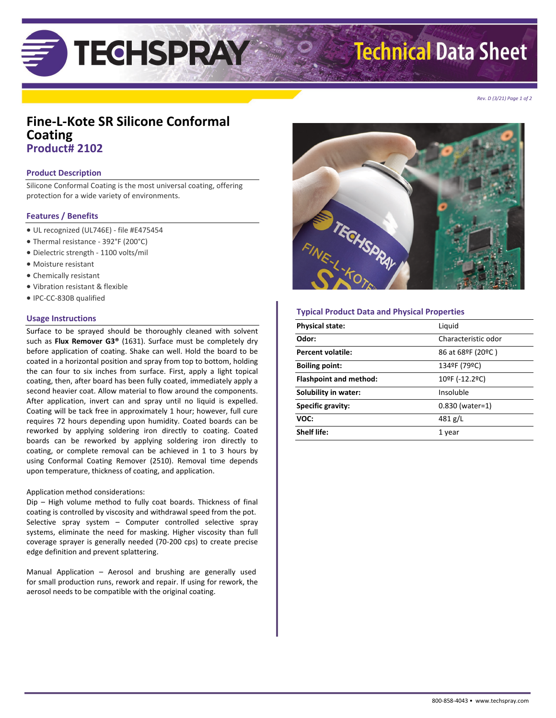# **Technical Data Sheet**

*Rev. D (3/21) Page 1 of 2*

## **Fine-L-Kote SR Silicone Conformal Coating Product# 2102**

**TECHSPRAY** 

#### **Product Description**

Silicone Conformal Coating is the most universal coating, offering protection for a wide variety of environments.

#### **Features / Benefits**

- UL recognized (UL746E) file #E475454
- Thermal resistance 392°F (200°C)
- Dielectric strength 1100 volts/mil
- Moisture resistant
- Chemically resistant
- Vibration resistant & flexible
- IPC-CC-830B qualified

#### **Usage Instructions**

Surface to be sprayed should be thoroughly cleaned with solvent such as **Flux Remover G3®** (1631). Surface must be completely dry before application of coating. Shake can well. Hold the board to be coated in a horizontal position and spray from top to bottom, holding the can four to six inches from surface. First, apply a light topical coating, then, after board has been fully coated, immediately apply a second heavier coat. Allow material to flow around the components. After application, invert can and spray until no liquid is expelled. Coating will be tack free in approximately 1 hour; however, full cure requires 72 hours depending upon humidity. Coated boards can be reworked by applying soldering iron directly to coating. Coated boards can be reworked by applying soldering iron directly to coating, or complete removal can be achieved in 1 to 3 hours by using Conformal Coating Remover (2510). Removal time depends upon temperature, thickness of coating, and application.

#### Application method considerations:

Dip – High volume method to fully coat boards. Thickness of final coating is controlled by viscosity and withdrawal speed from the pot. Selective spray system – Computer controlled selective spray systems, eliminate the need for masking. Higher viscosity than full coverage sprayer is generally needed (70-200 cps) to create precise edge definition and prevent splattering.

Manual Application – Aerosol and brushing are generally used for small production runs, rework and repair. If using for rework, the aerosol needs to be compatible with the original coating.



#### **Typical Product Data and Physical Properties**

| <b>Physical state:</b>        | Liquid              |
|-------------------------------|---------------------|
| Odor:                         | Characteristic odor |
| Percent volatile:             | 86 at 68ºF (20ºC)   |
| <b>Boiling point:</b>         | 134ºF (79ºC)        |
| <b>Flashpoint and method:</b> | 10ºF (-12.2ºC)      |
| Solubility in water:          | Insoluble           |
| <b>Specific gravity:</b>      | $0.830$ (water=1)   |
| VOC:                          | 481 g/L             |
| <b>Shelf life:</b>            | 1 year              |
|                               |                     |